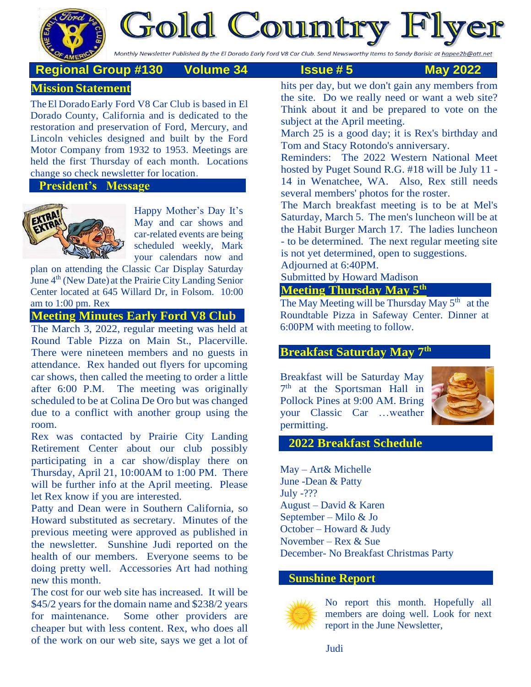

**Gold Country Fly** 

Monthly Newsletter Published By the El Dorado Early Ford V8 Car Club. Send Newsworthy Items to Sandy Barisic at hapee2b@att.net

# **Regional Group #130 Volume 34 Issue # 5 May 2022**

## **Mission Statement**

TheEl DoradoEarly Ford V8 Car Club is based in El Dorado County, California and is dedicated to the restoration and preservation of Ford, Mercury, and Lincoln vehicles designed and built by the Ford Motor Company from 1932 to 1953. Meetings are held the first Thursday of each month. Locations change so check newsletter for location.

**President's Message** 



Happy Mother's Day It's May and car shows and car-related events are being scheduled weekly, Mark your calendars now and

plan on attending the Classic Car Display Saturday June 4<sup>th</sup> (New Date) at the Prairie City Landing Senior Center located at 645 Willard Dr, in Folsom. 10:00 am to 1:00 pm. Rex

## **Meeting Minutes Early Ford V8 Club**

The March 3, 2022, regular meeting was held at Round Table Pizza on Main St., Placerville. There were nineteen members and no guests in attendance. Rex handed out flyers for upcoming car shows, then called the meeting to order a little after 6:00 P.M. The meeting was originally scheduled to be at Colina De Oro but was changed due to a conflict with another group using the room.

Rex was contacted by Prairie City Landing Retirement Center about our club possibly participating in a car show/display there on Thursday, April 21, 10:00AM to 1:00 PM. There will be further info at the April meeting. Please let Rex know if you are interested.

Patty and Dean were in Southern California, so Howard substituted as secretary. Minutes of the previous meeting were approved as published in the newsletter. Sunshine Judi reported on the health of our members. Everyone seems to be doing pretty well. Accessories Art had nothing new this month.

The cost for our web site has increased. It will be \$45/2 years for the domain name and \$238/2 years for maintenance. Some other providers are cheaper but with less content. Rex, who does all of the work on our web site, says we get a lot of hits per day, but we don't gain any members from the site. Do we really need or want a web site? Think about it and be prepared to vote on the subject at the April meeting.

March 25 is a good day; it is Rex's birthday and Tom and Stacy Rotondo's anniversary.

Reminders: The 2022 Western National Meet hosted by Puget Sound R.G. #18 will be July 11 - 14 in Wenatchee, WA. Also, Rex still needs several members' photos for the roster.

The March breakfast meeting is to be at Mel's Saturday, March 5. The men's luncheon will be at the Habit Burger March 17. The ladies luncheon - to be determined. The next regular meeting site is not yet determined, open to suggestions.

#### Adjourned at 6:40PM.

Submitted by Howard Madison

#### **Meeting Thursday May 5th**

The May Meeting will be Thursday May 5<sup>th</sup> at the Roundtable Pizza in Safeway Center. Dinner at 6:00PM with meeting to follow.

#### **Breakfast Saturday May 7th**

Breakfast will be Saturday May 7 th at the Sportsman Hall in Pollock Pines at 9:00 AM. Bring your Classic Car …weather permitting.



### **2022 Breakfast Schedule**

May – Art& Michelle June -Dean & Patty July -??? August – David & Karen September – Milo & Jo October – Howard & Judy November – Rex & Sue December- No Breakfast Christmas Party

#### **Sunshine Report**



No report this month. Hopefully all members are doing well. Look for next report in the June Newsletter,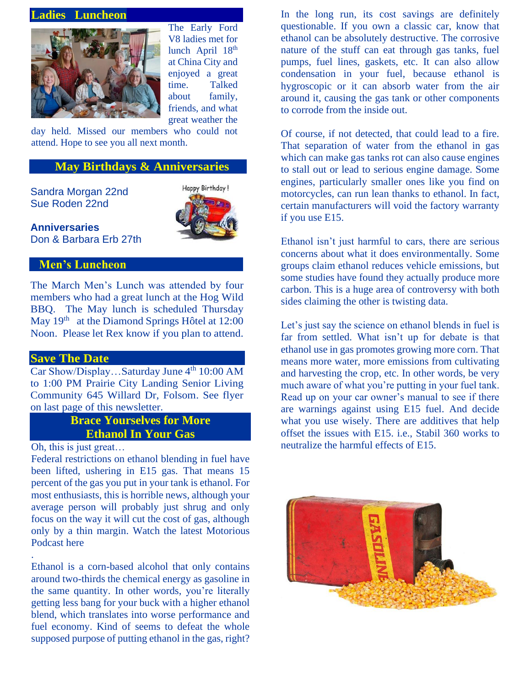#### **Ladies Luncheon**



The Early Ford V8 ladies met for lunch April 18<sup>th</sup> at China City and enjoyed a great time. Talked about family, friends, and what great weather the

day held. Missed our members who could not attend. Hope to see you all next month.

#### **May Birthdays & Anniversaries**

Sandra Morgan 22nd Sue Roden 22nd



**Anniversaries** Don & Barbara Erb 27th

#### **Men's Luncheon**

The March Men's Lunch was attended by four members who had a great lunch at the Hog Wild BBQ. The May lunch is scheduled Thursday May 19<sup>th</sup> at the Diamond Springs Hôtel at 12:00 Noon. Please let Rex know if you plan to attend.

#### **Save The Date**

Car Show/Display...Saturday June 4<sup>th</sup> 10:00 AM to 1:00 PM Prairie City Landing Senior Living Community 645 Willard Dr, Folsom. See flyer on last page of this newsletter.

## **Brace Yourselves for More Ethanol In Your Gas**

Oh, this is just great…

.

Federal restrictions on ethanol blending in fuel have been lifted, ushering in E15 gas. That means 15 percent of the gas you put in your tank is ethanol. For most enthusiasts, this is horrible news, although your average person will probably just shrug and only focus on the way it will cut the cost of gas, although only by a thin margin. Watch the latest Motorious Podcast here

Ethanol is a corn-based alcohol that only contains around two-thirds the chemical energy as gasoline in the same quantity. In other words, you're literally getting less bang for your buck with a higher ethanol blend, which translates into worse performance and fuel economy. Kind of seems to defeat the whole supposed purpose of putting ethanol in the gas, right? In the long run, its cost savings are definitely questionable. If you own a classic car, know that ethanol can be absolutely destructive. The corrosive nature of the stuff can eat through gas tanks, fuel pumps, fuel lines, gaskets, etc. It can also allow condensation in your fuel, because ethanol is hygroscopic or it can absorb water from the air around it, causing the gas tank or other components to corrode from the inside out.

Of course, if not detected, that could lead to a fire. That separation of water from the ethanol in gas which can make gas tanks rot can also cause engines to stall out or lead to serious engine damage. Some engines, particularly smaller ones like you find on motorcycles, can run lean thanks to ethanol. In fact, certain manufacturers will void the factory warranty if you use E15.

Ethanol isn't just harmful to cars, there are serious concerns about what it does environmentally. Some groups claim ethanol reduces vehicle emissions, but some studies have found they actually produce more carbon. This is a huge area of controversy with both sides claiming the other is twisting data.

Let's just say the science on ethanol blends in fuel is far from settled. What isn't up for debate is that ethanol use in gas promotes growing more corn. That means more water, more emissions from cultivating and harvesting the crop, etc. In other words, be very much aware of what you're putting in your fuel tank. Read up on your car owner's manual to see if there are warnings against using E15 fuel. And decide what you use wisely. There are additives that help offset the issues with E15. i.e., Stabil 360 works to neutralize the harmful effects of E15.

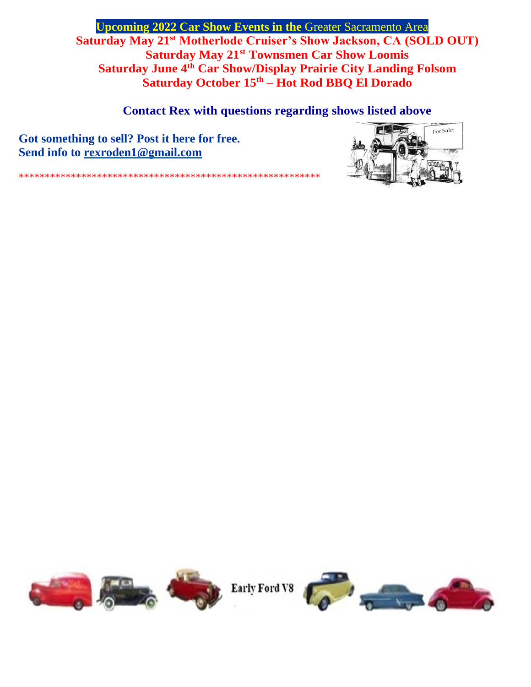**Upcoming 2022 Car Show Events in the Greater Sacramento Area** Saturday May 21<sup>st</sup> Motherlode Cruiser's Show Jackson, CA (SOLD OUT) Saturday May 21<sup>st</sup> Townsmen Car Show Loomis **Saturday June 4th Car Show/Display Prairie City Landing Folsom** Saturday October 15<sup>th</sup> – Hot Rod BBQ El Dorado

**Contact Rex with questions regarding shows listed above** 

Got something to sell? Post it here for free. Send info to rexroden1@gmail.com